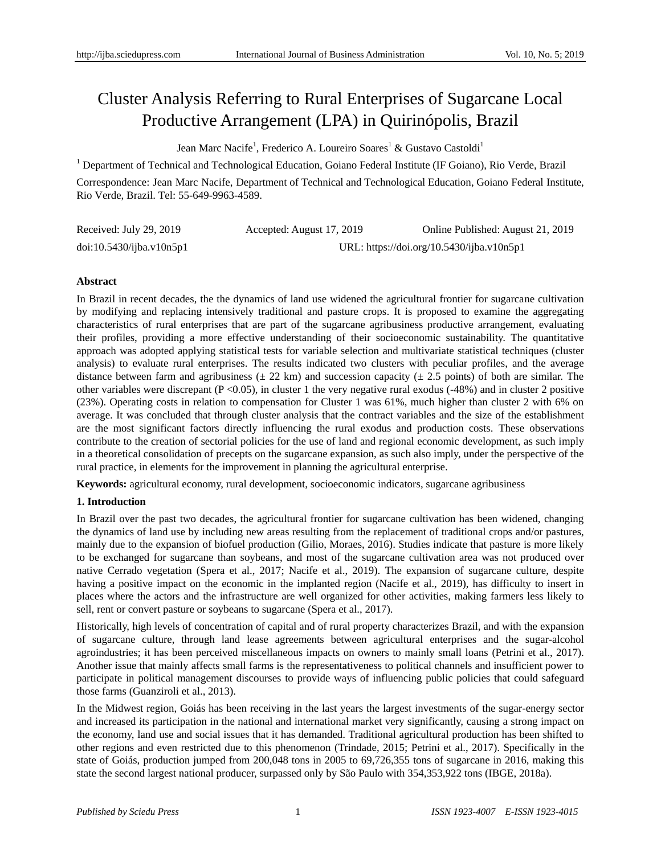# Cluster Analysis Referring to Rural Enterprises of Sugarcane Local Productive Arrangement (LPA) in Quirinópolis, Brazil

Jean Marc Nacife<sup>1</sup>, Frederico A. Loureiro Soares<sup>1</sup> & Gustavo Castoldi<sup>1</sup>

<sup>1</sup> Department of Technical and Technological Education, Goiano Federal Institute (IF Goiano), Rio Verde, Brazil

Correspondence: Jean Marc Nacife, Department of Technical and Technological Education, Goiano Federal Institute, Rio Verde, Brazil. Tel: 55-649-9963-4589.

| Received: July 29, 2019  | Accepted: August 17, 2019 | Online Published: August 21, 2019         |
|--------------------------|---------------------------|-------------------------------------------|
| doi:10.5430/ijba.v10n5p1 |                           | URL: https://doi.org/10.5430/ijba.v10n5p1 |

## **Abstract**

In Brazil in recent decades, the the dynamics of land use widened the agricultural frontier for sugarcane cultivation by modifying and replacing intensively traditional and pasture crops. It is proposed to examine the aggregating characteristics of rural enterprises that are part of the sugarcane agribusiness productive arrangement, evaluating their profiles, providing a more effective understanding of their socioeconomic sustainability. The quantitative approach was adopted applying statistical tests for variable selection and multivariate statistical techniques (cluster analysis) to evaluate rural enterprises. The results indicated two clusters with peculiar profiles, and the average distance between farm and agribusiness ( $\pm 22$  km) and succession capacity ( $\pm 2.5$  points) of both are similar. The other variables were discrepant  $(P < 0.05)$ , in cluster 1 the very negative rural exodus (-48%) and in cluster 2 positive (23%). Operating costs in relation to compensation for Cluster 1 was 61%, much higher than cluster 2 with 6% on average. It was concluded that through cluster analysis that the contract variables and the size of the establishment are the most significant factors directly influencing the rural exodus and production costs. These observations contribute to the creation of sectorial policies for the use of land and regional economic development, as such imply in a theoretical consolidation of precepts on the sugarcane expansion, as such also imply, under the perspective of the rural practice, in elements for the improvement in planning the agricultural enterprise.

**Keywords:** agricultural economy, rural development, socioeconomic indicators, sugarcane agribusiness

## **1. Introduction**

In Brazil over the past two decades, the agricultural frontier for sugarcane cultivation has been widened, changing the dynamics of land use by including new areas resulting from the replacement of traditional crops and/or pastures, mainly due to the expansion of biofuel production (Gilio, Moraes, 2016). Studies indicate that pasture is more likely to be exchanged for sugarcane than soybeans, and most of the sugarcane cultivation area was not produced over native Cerrado vegetation (Spera et al., 2017; Nacife et al., 2019). The expansion of sugarcane culture, despite having a positive impact on the economic in the implanted region (Nacife et al., 2019), has difficulty to insert in places where the actors and the infrastructure are well organized for other activities, making farmers less likely to sell, rent or convert pasture or soybeans to sugarcane (Spera et al., 2017).

Historically, high levels of concentration of capital and of rural property characterizes Brazil, and with the expansion of sugarcane culture, through land lease agreements between agricultural enterprises and the sugar-alcohol agroindustries; it has been perceived miscellaneous impacts on owners to mainly small loans (Petrini et al., 2017). Another issue that mainly affects small farms is the representativeness to political channels and insufficient power to participate in political management discourses to provide ways of influencing public policies that could safeguard those farms (Guanziroli et al., 2013).

In the Midwest region, Goiás has been receiving in the last years the largest investments of the sugar-energy sector and increased its participation in the national and international market very significantly, causing a strong impact on the economy, land use and social issues that it has demanded. Traditional agricultural production has been shifted to other regions and even restricted due to this phenomenon (Trindade, 2015; Petrini et al., 2017). Specifically in the state of Goiás, production jumped from 200,048 tons in 2005 to 69,726,355 tons of sugarcane in 2016, making this state the second largest national producer, surpassed only by São Paulo with 354,353,922 tons (IBGE, 2018a).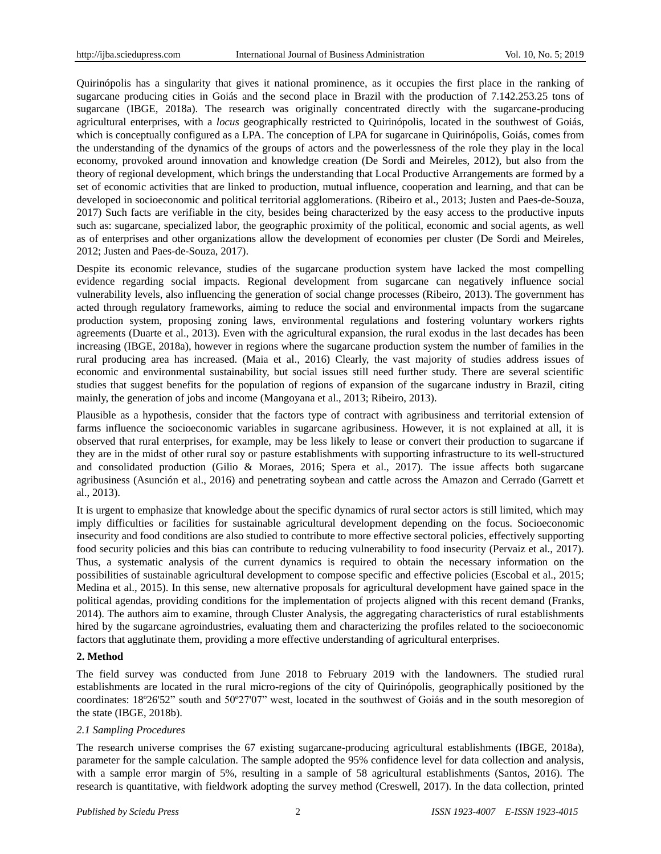Quirinópolis has a singularity that gives it national prominence, as it occupies the first place in the ranking of sugarcane producing cities in Goiás and the second place in Brazil with the production of 7.142.253.25 tons of sugarcane (IBGE, 2018a). The research was originally concentrated directly with the sugarcane-producing agricultural enterprises, with a *locus* geographically restricted to Quirinópolis, located in the southwest of Goiás, which is conceptually configured as a LPA. The conception of LPA for sugarcane in Quirinópolis, Goi  $\hat{\mathbf{a}}$ , comes from the understanding of the dynamics of the groups of actors and the powerlessness of the role they play in the local economy, provoked around innovation and knowledge creation (De Sordi and Meireles, 2012), but also from the theory of regional development, which brings the understanding that Local Productive Arrangements are formed by a set of economic activities that are linked to production, mutual influence, cooperation and learning, and that can be developed in socioeconomic and political territorial agglomerations. (Ribeiro et al., 2013; Justen and Paes-de-Souza, 2017) Such facts are verifiable in the city, besides being characterized by the easy access to the productive inputs such as: sugarcane, specialized labor, the geographic proximity of the political, economic and social agents, as well as of enterprises and other organizations allow the development of economies per cluster (De Sordi and Meireles, 2012; Justen and Paes-de-Souza, 2017).

Despite its economic relevance, studies of the sugarcane production system have lacked the most compelling evidence regarding social impacts. Regional development from sugarcane can negatively influence social vulnerability levels, also influencing the generation of social change processes (Ribeiro, 2013). The government has acted through regulatory frameworks, aiming to reduce the social and environmental impacts from the sugarcane production system, proposing zoning laws, environmental regulations and fostering voluntary workers rights agreements (Duarte et al., 2013). Even with the agricultural expansion, the rural exodus in the last decades has been increasing (IBGE, 2018a), however in regions where the sugarcane production system the number of families in the rural producing area has increased. (Maia et al., 2016) Clearly, the vast majority of studies address issues of economic and environmental sustainability, but social issues still need further study. There are several scientific studies that suggest benefits for the population of regions of expansion of the sugarcane industry in Brazil, citing mainly, the generation of jobs and income (Mangoyana et al., 2013; Ribeiro, 2013).

Plausible as a hypothesis, consider that the factors type of contract with agribusiness and territorial extension of farms influence the socioeconomic variables in sugarcane agribusiness. However, it is not explained at all, it is observed that rural enterprises, for example, may be less likely to lease or convert their production to sugarcane if they are in the midst of other rural soy or pasture establishments with supporting infrastructure to its well-structured and consolidated production (Gilio & Moraes, 2016; Spera et al., 2017). The issue affects both sugarcane agribusiness (Asunción et al., 2016) and penetrating soybean and cattle across the Amazon and Cerrado (Garrett et al., 2013).

It is urgent to emphasize that knowledge about the specific dynamics of rural sector actors is still limited, which may imply difficulties or facilities for sustainable agricultural development depending on the focus. Socioeconomic insecurity and food conditions are also studied to contribute to more effective sectoral policies, effectively supporting food security policies and this bias can contribute to reducing vulnerability to food insecurity (Pervaiz et al., 2017). Thus, a systematic analysis of the current dynamics is required to obtain the necessary information on the possibilities of sustainable agricultural development to compose specific and effective policies (Escobal et al., 2015; Medina et al., 2015). In this sense, new alternative proposals for agricultural development have gained space in the political agendas, providing conditions for the implementation of projects aligned with this recent demand (Franks, 2014). The authors aim to examine, through Cluster Analysis, the aggregating characteristics of rural establishments hired by the sugarcane agroindustries, evaluating them and characterizing the profiles related to the socioeconomic factors that agglutinate them, providing a more effective understanding of agricultural enterprises.

## **2. Method**

The field survey was conducted from June 2018 to February 2019 with the landowners. The studied rural establishments are located in the rural micro-regions of the city of Quirinópolis, geographically positioned by the coordinates: 18º26'52" south and 50º27'07" west, located in the southwest of Goiás and in the south mesoregion of the state (IBGE, 2018b).

## *2.1 Sampling Procedures*

The research universe comprises the 67 existing sugarcane-producing agricultural establishments (IBGE, 2018a), parameter for the sample calculation. The sample adopted the 95% confidence level for data collection and analysis, with a sample error margin of 5%, resulting in a sample of 58 agricultural establishments (Santos, 2016). The research is quantitative, with fieldwork adopting the survey method (Creswell, 2017). In the data collection, printed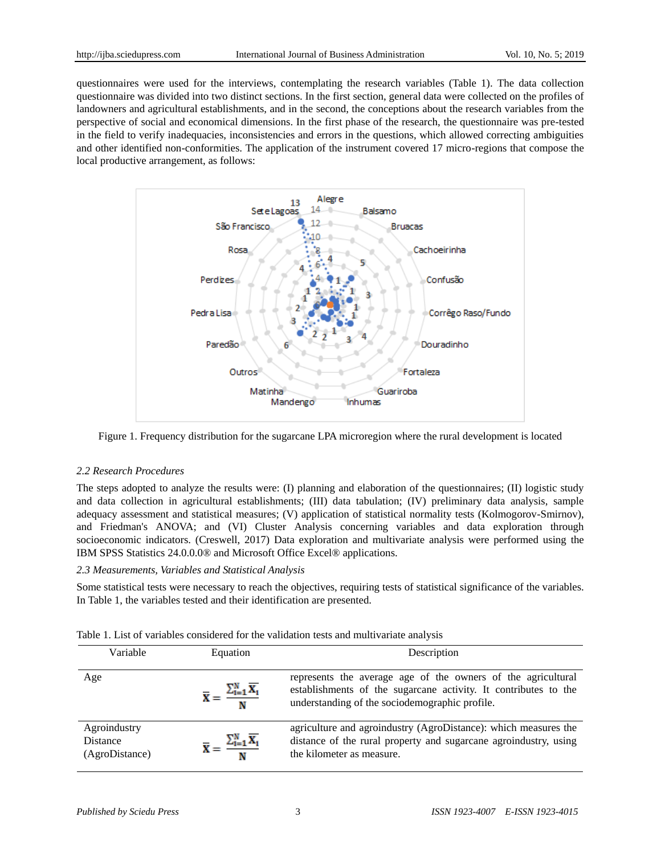questionnaires were used for the interviews, contemplating the research variables (Table 1). The data collection questionnaire was divided into two distinct sections. In the first section, general data were collected on the profiles of landowners and agricultural establishments, and in the second, the conceptions about the research variables from the perspective of social and economical dimensions. In the first phase of the research, the questionnaire was pre-tested in the field to verify inadequacies, inconsistencies and errors in the questions, which allowed correcting ambiguities and other identified non-conformities. The application of the instrument covered 17 micro-regions that compose the local productive arrangement, as follows:



Figure 1. Frequency distribution for the sugarcane LPA microregion where the rural development is located

#### *2.2 Research Procedures*

The steps adopted to analyze the results were: (I) planning and elaboration of the questionnaires; (II) logistic study and data collection in agricultural establishments; (III) data tabulation; (IV) preliminary data analysis, sample adequacy assessment and statistical measures; (V) application of statistical normality tests (Kolmogorov-Smirnov), and Friedman's ANOVA; and (VI) Cluster Analysis concerning variables and data exploration through socioeconomic indicators. (Creswell, 2017) Data exploration and multivariate analysis were performed using the IBM SPSS Statistics 24.0.0.0® and Microsoft Office Excel® applications.

## *2.3 Measurements, Variables and Statistical Analysis*

Some statistical tests were necessary to reach the objectives, requiring tests of statistical significance of the variables. In Table 1, the variables tested and their identification are presented.

| Variable                                          | Equation                                                                            | Description                                                                                                                                                                       |
|---------------------------------------------------|-------------------------------------------------------------------------------------|-----------------------------------------------------------------------------------------------------------------------------------------------------------------------------------|
| Age                                               | $\overline{\mathbf{X}} = \frac{\sum_{i=1}^{N} \overline{\mathbf{X}_i}}{\mathbf{N}}$ | represents the average age of the owners of the agricultural<br>establishments of the sugarcane activity. It contributes to the<br>understanding of the sociodemographic profile. |
| Agroindustry<br><b>Distance</b><br>(AgroDistance) | $=\frac{\sum_{i=1}^{N} \overline{X_i}}{N}$                                          | agriculture and agroindustry (AgroDistance): which measures the<br>distance of the rural property and sugarcane agroindustry, using<br>the kilometer as measure.                  |

| Table 1. List of variables considered for the validation tests and multivariate analysis |  |  |  |
|------------------------------------------------------------------------------------------|--|--|--|
|------------------------------------------------------------------------------------------|--|--|--|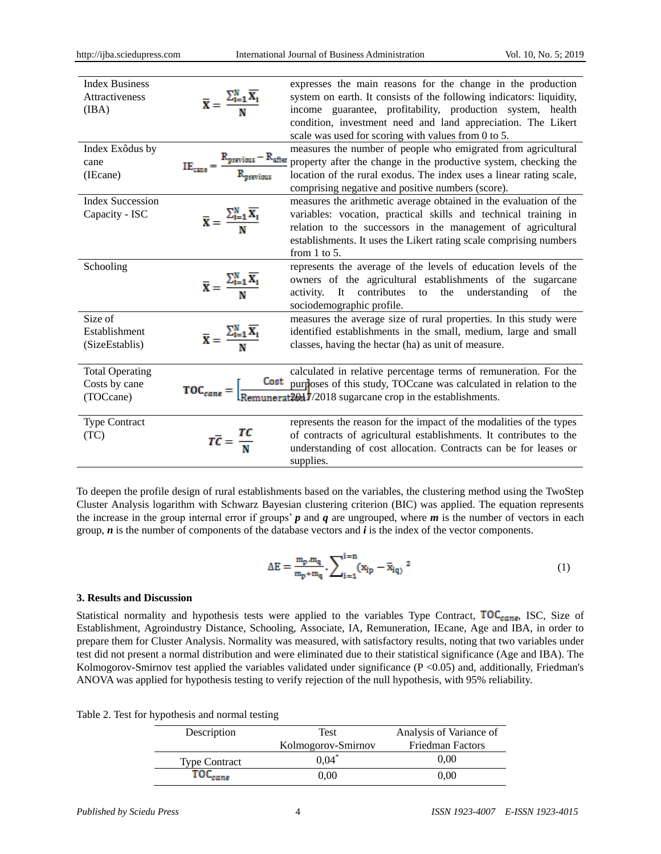| <b>Index Business</b><br>Attractiveness<br>(IBA)     | $\overline{\mathbf{X}} = \frac{\sum_{i=1}^{N} \overline{\mathbf{X}_i}}{\mathbf{X}!}$ | expresses the main reasons for the change in the production<br>system on earth. It consists of the following indicators: liquidity,<br>income guarantee, profitability, production system, health<br>condition, investment need and land appreciation. The Likert<br>scale was used for scoring with values from 0 to 5. |
|------------------------------------------------------|--------------------------------------------------------------------------------------|--------------------------------------------------------------------------------------------------------------------------------------------------------------------------------------------------------------------------------------------------------------------------------------------------------------------------|
| Index Ex ôdus by<br>cane<br>(IEcane)                 | $K_{\text{previous}} - R_{\text{after}}$                                             | measures the number of people who emigrated from agricultural<br>property after the change in the productive system, checking the<br>location of the rural exodus. The index uses a linear rating scale,<br>comprising negative and positive numbers (score).                                                            |
| <b>Index Succession</b><br>Capacity - ISC            | $\overline{\mathbf{X}} = \frac{\sum_{i=1}^{N} \overline{\mathbf{X}_i}}{\mathbf{N}}$  | measures the arithmetic average obtained in the evaluation of the<br>variables: vocation, practical skills and technical training in<br>relation to the successors in the management of agricultural<br>establishments. It uses the Likert rating scale comprising numbers<br>from $1$ to $5$ .                          |
| Schooling                                            | $\overline{\mathbf{X}} = \frac{\sum_{i=1}^{N} \overline{\mathbf{X}_i}}{\mathbf{M}}$  | represents the average of the levels of education levels of the<br>owners of the agricultural establishments of the sugarcane<br>contributes<br>It<br>the<br>understanding<br>of<br>activity.<br>to<br>the<br>sociodemographic profile.                                                                                  |
| Size of<br>Establishment<br>(SizeEstablis)           | $\overline{\mathbf{X}} = \frac{\sum_{i=1}^{N} \overline{\mathbf{X}_i}}{\mathbf{M}}$  | measures the average size of rural properties. In this study were<br>identified establishments in the small, medium, large and small<br>classes, having the hectar (ha) as unit of measure.                                                                                                                              |
| <b>Total Operating</b><br>Costs by cane<br>(TOCcane) |                                                                                      | calculated in relative percentage terms of remuneration. For the<br>$\text{TOC}_{\text{cancel}} = \left[\frac{\text{Cost}}{\text{Remunerat20d}} \frac{\text{purposes}}{\text{m}2018} \text{ sugarcane crop in the establishment.}\right]$                                                                                |
| <b>Type Contract</b><br>(TC)                         | $T\overline{C} = \frac{TC}{N}$                                                       | represents the reason for the impact of the modalities of the types<br>of contracts of agricultural establishments. It contributes to the<br>understanding of cost allocation. Contracts can be for leases or<br>supplies.                                                                                               |

To deepen the profile design of rural establishments based on the variables, the clustering method using the TwoStep Cluster Analysis logarithm with Schwarz Bayesian clustering criterion (BIC) was applied. The equation represents the increase in the group internal error if groups'  $p$  and  $q$  are ungrouped, where  $m$  is the number of vectors in each group, *n* is the number of components of the database vectors and *i* is the index of the vector components.

$$
\Delta E = \frac{m_p \cdot m_q}{m_p + m_q} \cdot \sum_{i=1}^{i=n} (x_{ip} - \bar{x}_{iq})^2
$$
 (1)

#### **3. Results and Discussion**

Statistical normality and hypothesis tests were applied to the variables Type Contract,  $TOC_{cane}$ , ISC, Size of Establishment, Agroindustry Distance, Schooling, Associate, IA, Remuneration, IEcane, Age and IBA, in order to prepare them for Cluster Analysis. Normality was measured, with satisfactory results, noting that two variables under test did not present a normal distribution and were eliminated due to their statistical significance (Age and IBA). The Kolmogorov-Smirnov test applied the variables validated under significance  $(P < 0.05)$  and, additionally, Friedman's ANOVA was applied for hypothesis testing to verify rejection of the null hypothesis, with 95% reliability.

|  |  | Table 2. Test for hypothesis and normal testing |  |  |  |
|--|--|-------------------------------------------------|--|--|--|
|--|--|-------------------------------------------------|--|--|--|

| Description          | Test               | Analysis of Variance of |  |
|----------------------|--------------------|-------------------------|--|
|                      | Kolmogorov-Smirnov | <b>Friedman Factors</b> |  |
| <b>Type Contract</b> | $0.04*$            | 0.00                    |  |
|                      | $0.00\,$           | $0.00\,$                |  |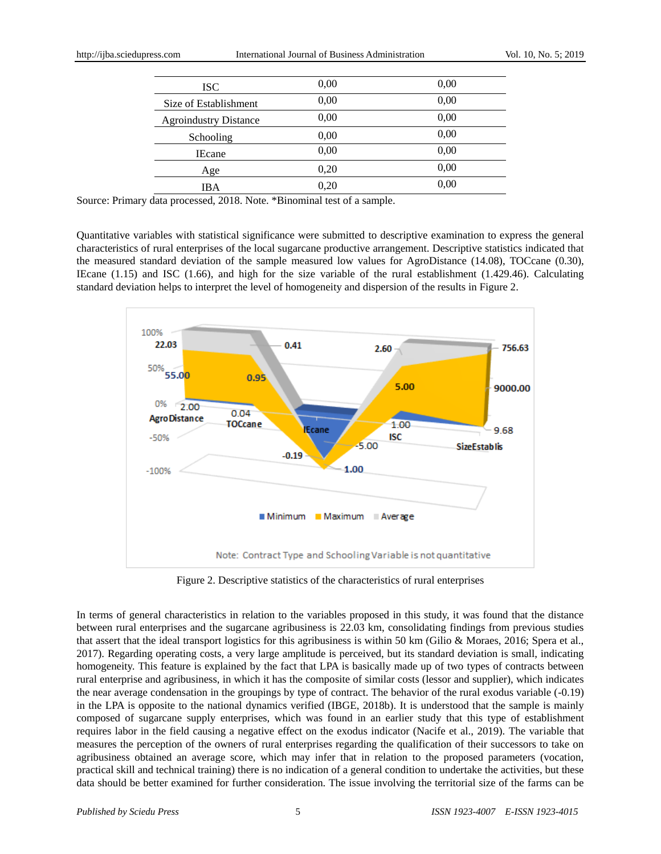http://ijba.sciedupress.com International Journal of Business Administration Vol. 10, No. 5; 2019

| <b>ISC</b>                   | 0.00 | 0.00 |
|------------------------------|------|------|
| Size of Establishment        | 0,00 | 0,00 |
| <b>Agroindustry Distance</b> | 0,00 | 0,00 |
| Schooling                    | 0,00 | 0,00 |
| <b>IEcane</b>                | 0,00 | 0,00 |
| Age                          | 0,20 | 0,00 |
| IBA                          | 0.20 | 0,00 |

Source: Primary data processed, 2018. Note. \*Binominal test of a sample.

Quantitative variables with statistical significance were submitted to descriptive examination to express the general characteristics of rural enterprises of the local sugarcane productive arrangement. Descriptive statistics indicated that the measured standard deviation of the sample measured low values for AgroDistance (14.08), TOCcane (0.30), IEcane (1.15) and ISC (1.66), and high for the size variable of the rural establishment (1.429.46). Calculating standard deviation helps to interpret the level of homogeneity and dispersion of the results in Figure 2.



Figure 2. Descriptive statistics of the characteristics of rural enterprises

In terms of general characteristics in relation to the variables proposed in this study, it was found that the distance between rural enterprises and the sugarcane agribusiness is 22.03 km, consolidating findings from previous studies that assert that the ideal transport logistics for this agribusiness is within 50 km (Gilio & Moraes, 2016; Spera et al., 2017). Regarding operating costs, a very large amplitude is perceived, but its standard deviation is small, indicating homogeneity. This feature is explained by the fact that LPA is basically made up of two types of contracts between rural enterprise and agribusiness, in which it has the composite of similar costs (lessor and supplier), which indicates the near average condensation in the groupings by type of contract. The behavior of the rural exodus variable (-0.19) in the LPA is opposite to the national dynamics verified (IBGE, 2018b). It is understood that the sample is mainly composed of sugarcane supply enterprises, which was found in an earlier study that this type of establishment requires labor in the field causing a negative effect on the exodus indicator (Nacife et al., 2019). The variable that measures the perception of the owners of rural enterprises regarding the qualification of their successors to take on agribusiness obtained an average score, which may infer that in relation to the proposed parameters (vocation, practical skill and technical training) there is no indication of a general condition to undertake the activities, but these data should be better examined for further consideration. The issue involving the territorial size of the farms can be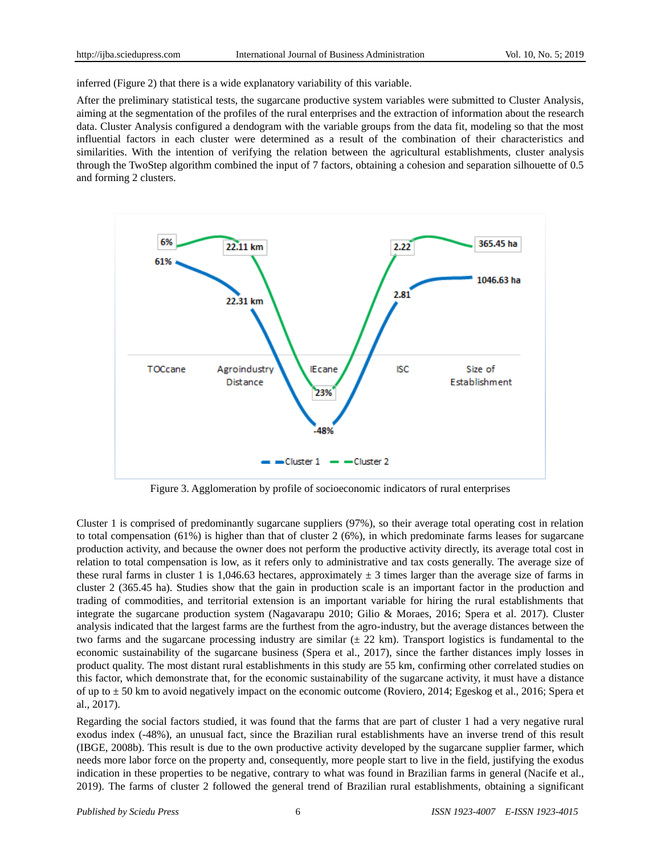inferred (Figure 2) that there is a wide explanatory variability of this variable.

After the preliminary statistical tests, the sugarcane productive system variables were submitted to Cluster Analysis, aiming at the segmentation of the profiles of the rural enterprises and the extraction of information about the research data. Cluster Analysis configured a dendogram with the variable groups from the data fit, modeling so that the most influential factors in each cluster were determined as a result of the combination of their characteristics and similarities. With the intention of verifying the relation between the agricultural establishments, cluster analysis through the TwoStep algorithm combined the input of 7 factors, obtaining a cohesion and separation silhouette of 0.5 and forming 2 clusters.



Figure 3. Agglomeration by profile of socioeconomic indicators of rural enterprises

Cluster 1 is comprised of predominantly sugarcane suppliers (97%), so their average total operating cost in relation to total compensation (61%) is higher than that of cluster 2 (6%), in which predominate farms leases for sugarcane production activity, and because the owner does not perform the productive activity directly, its average total cost in relation to total compensation is low, as it refers only to administrative and tax costs generally. The average size of these rural farms in cluster 1 is 1,046.63 hectares, approximately  $\pm$  3 times larger than the average size of farms in cluster 2 (365.45 ha). Studies show that the gain in production scale is an important factor in the production and trading of commodities, and territorial extension is an important variable for hiring the rural establishments that integrate the sugarcane production system (Nagavarapu 2010; Gilio & Moraes, 2016; Spera et al. 2017). Cluster analysis indicated that the largest farms are the furthest from the agro-industry, but the average distances between the two farms and the sugarcane processing industry are similar  $(\pm 22 \text{ km})$ . Transport logistics is fundamental to the economic sustainability of the sugarcane business (Spera et al., 2017), since the farther distances imply losses in product quality. The most distant rural establishments in this study are 55 km, confirming other correlated studies on this factor, which demonstrate that, for the economic sustainability of the sugarcane activity, it must have a distance of up to ± 50 km to avoid negatively impact on the economic outcome (Roviero, 2014; Egeskog et al., 2016; Spera et al., 2017).

Regarding the social factors studied, it was found that the farms that are part of cluster 1 had a very negative rural exodus index (-48%), an unusual fact, since the Brazilian rural establishments have an inverse trend of this result (IBGE, 2008b). This result is due to the own productive activity developed by the sugarcane supplier farmer, which needs more labor force on the property and, consequently, more people start to live in the field, justifying the exodus indication in these properties to be negative, contrary to what was found in Brazilian farms in general (Nacife et al., 2019). The farms of cluster 2 followed the general trend of Brazilian rural establishments, obtaining a significant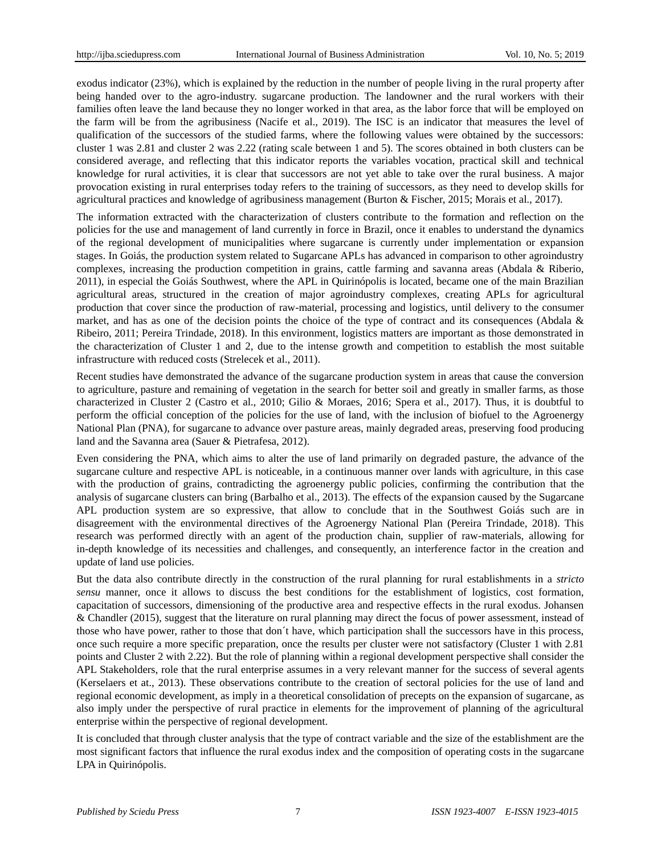exodus indicator (23%), which is explained by the reduction in the number of people living in the rural property after being handed over to the agro-industry. sugarcane production. The landowner and the rural workers with their families often leave the land because they no longer worked in that area, as the labor force that will be employed on the farm will be from the agribusiness (Nacife et al., 2019). The ISC is an indicator that measures the level of qualification of the successors of the studied farms, where the following values were obtained by the successors: cluster 1 was 2.81 and cluster 2 was 2.22 (rating scale between 1 and 5). The scores obtained in both clusters can be considered average, and reflecting that this indicator reports the variables vocation, practical skill and technical knowledge for rural activities, it is clear that successors are not yet able to take over the rural business. A major provocation existing in rural enterprises today refers to the training of successors, as they need to develop skills for agricultural practices and knowledge of agribusiness management (Burton & Fischer, 2015; Morais et al., 2017).

The information extracted with the characterization of clusters contribute to the formation and reflection on the policies for the use and management of land currently in force in Brazil, once it enables to understand the dynamics of the regional development of municipalities where sugarcane is currently under implementation or expansion stages. In Goiás, the production system related to Sugarcane APLs has advanced in comparison to other agroindustry complexes, increasing the production competition in grains, cattle farming and savanna areas (Abdala & Riberio, 2011), in especial the Goiás Southwest, where the APL in Quirinópolis is located, became one of the main Brazilian agricultural areas, structured in the creation of major agroindustry complexes, creating APLs for agricultural production that cover since the production of raw-material, processing and logistics, until delivery to the consumer market, and has as one of the decision points the choice of the type of contract and its consequences (Abdala  $\&$ Ribeiro, 2011; Pereira Trindade, 2018). In this environment, logistics matters are important as those demonstrated in the characterization of Cluster 1 and 2, due to the intense growth and competition to establish the most suitable infrastructure with reduced costs (Strelecek et al., 2011).

Recent studies have demonstrated the advance of the sugarcane production system in areas that cause the conversion to agriculture, pasture and remaining of vegetation in the search for better soil and greatly in smaller farms, as those characterized in Cluster 2 (Castro et al., 2010; Gilio & Moraes, 2016; Spera et al., 2017). Thus, it is doubtful to perform the official conception of the policies for the use of land, with the inclusion of biofuel to the Agroenergy National Plan (PNA), for sugarcane to advance over pasture areas, mainly degraded areas, preserving food producing land and the Savanna area (Sauer & Pietrafesa, 2012).

Even considering the PNA, which aims to alter the use of land primarily on degraded pasture, the advance of the sugarcane culture and respective APL is noticeable, in a continuous manner over lands with agriculture, in this case with the production of grains, contradicting the agroenergy public policies, confirming the contribution that the analysis of sugarcane clusters can bring (Barbalho et al., 2013). The effects of the expansion caused by the Sugarcane APL production system are so expressive, that allow to conclude that in the Southwest Goiás such are in disagreement with the environmental directives of the Agroenergy National Plan (Pereira Trindade, 2018). This research was performed directly with an agent of the production chain, supplier of raw-materials, allowing for in-depth knowledge of its necessities and challenges, and consequently, an interference factor in the creation and update of land use policies.

But the data also contribute directly in the construction of the rural planning for rural establishments in a *stricto sensu* manner, once it allows to discuss the best conditions for the establishment of logistics, cost formation, capacitation of successors, dimensioning of the productive area and respective effects in the rural exodus. Johansen & Chandler (2015), suggest that the literature on rural planning may direct the focus of power assessment, instead of those who have power, rather to those that don´t have, which participation shall the successors have in this process, once such require a more specific preparation, once the results per cluster were not satisfactory (Cluster 1 with 2.81 points and Cluster 2 with 2.22). But the role of planning within a regional development perspective shall consider the APL Stakeholders, role that the rural enterprise assumes in a very relevant manner for the success of several agents (Kerselaers et at., 2013). These observations contribute to the creation of sectoral policies for the use of land and regional economic development, as imply in a theoretical consolidation of precepts on the expansion of sugarcane, as also imply under the perspective of rural practice in elements for the improvement of planning of the agricultural enterprise within the perspective of regional development.

It is concluded that through cluster analysis that the type of contract variable and the size of the establishment are the most significant factors that influence the rural exodus index and the composition of operating costs in the sugarcane LPA in Quirin ópolis.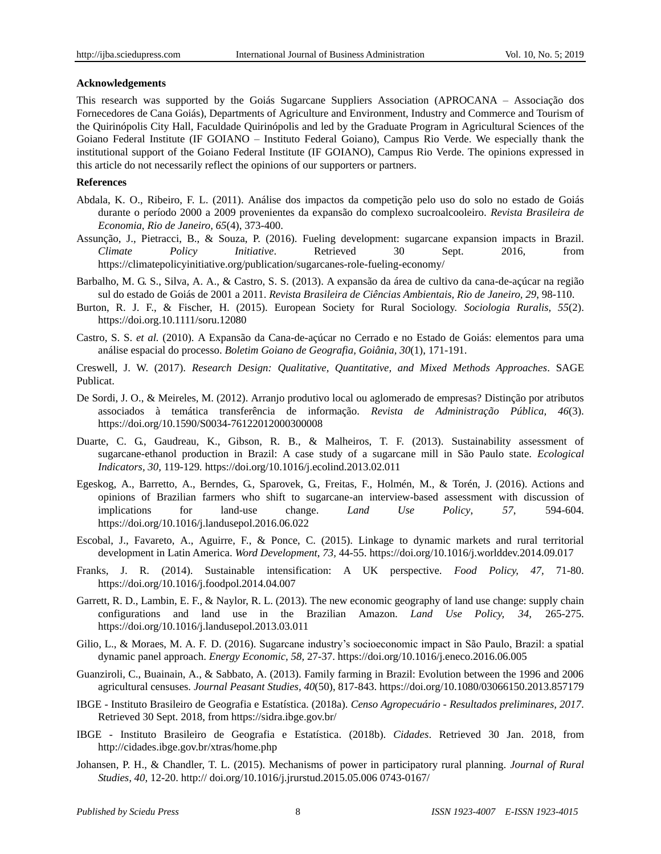#### **Acknowledgements**

This research was supported by the Goiás Sugarcane Suppliers Association (APROCANA – Associação dos Fornecedores de Cana Goiás), Departments of Agriculture and Environment, Industry and Commerce and Tourism of the Quirinópolis City Hall, Faculdade Quirinópolis and led by the Graduate Program in Agricultural Sciences of the Goiano Federal Institute (IF GOIANO – Instituto Federal Goiano), Campus Rio Verde. We especially thank the institutional support of the Goiano Federal Institute (IF GOIANO), Campus Rio Verde. The opinions expressed in this article do not necessarily reflect the opinions of our supporters or partners.

### **References**

- Abdala, K. O., Ribeiro, F. L. (2011). Análise dos impactos da competição pelo uso do solo no estado de Goiás durante o período 2000 a 2009 provenientes da expansão do complexo sucroalcooleiro. *Revista Brasileira de Economia*, *Rio de Janeiro, 65*(4), 373-400.
- Assunção, J., Pietracci, B., & Souza, P. (2016). Fueling development: sugarcane expansion impacts in Brazil. *Climate Policy Initiative*. Retrieved 30 Sept. 2016, from <https://climatepolicyinitiative.org/publication/sugarcanes-role-fueling-economy/>
- Barbalho, M. G. S., Silva, A. A., & Castro, S. S. (2013). A expansão da área de cultivo da cana-de-açúcar na região sul do estado de Goiás de 2001 a 2011. *Revista Brasileira de Ciências Ambientais, Rio de Janeiro, 29*, 98-110.
- Burton, R. J. F., & Fischer, H. (2015). European Society for Rural Sociology. *Sociologia Ruralis, 55*(2). https://doi.org.10.1111/soru.12080
- Castro, S. S. *et al.* (2010). A Expansão da Cana-de-açúcar no Cerrado e no Estado de Goiás: elementos para uma análise espacial do processo. *Boletim Goiano de Geografia, Goiânia, 30*(1), 171-191.
- Creswell, J. W. (2017). *Research Design: Qualitative, Quantitative, and Mixed Methods Approaches*. SAGE Publicat.
- De Sordi, J. O., & Meireles, M. (2012). Arranjo produtivo local ou aglomerado de empresas? Distinção por atributos associados à temática transferência de informação. *Revista de Administração Pública, 46*(3). https://doi.org/10.1590/S0034-76122012000300008
- Duarte, C. G., Gaudreau, K., Gibson, R. B., & Malheiros, T. F. (2013). Sustainability assessment of sugarcane-ethanol production in Brazil: A case study of a sugarcane mill in São Paulo state. *Ecological Indicators, 30,* 119-129*.* https://doi.org/10.1016/j.ecolind.2013.02.011
- Egeskog, A., Barretto, A., Berndes, G., Sparovek, G., Freitas, F., Holmén, M., & Torén, J. (2016). Actions and opinions of Brazilian farmers who shift to sugarcane-an interview-based assessment with discussion of implications for land-use change. *Land Use Policy*, *57*, 594-604. https://doi.org/10.1016/j.landusepol.2016.06.022
- Escobal, J., Favareto, A., Aguirre, F., & Ponce, C. (2015). Linkage to dynamic markets and rural territorial development in Latin America. *Word Development*, *73,* 44-55. https://doi.org/10.1016/j.worlddev.2014.09.017
- Franks, J. R. (2014). Sustainable intensification: A UK perspective. *Food Policy, 47,* 71-80. https://doi.org/10.1016/j.foodpol.2014.04.007
- Garrett, R. D., Lambin, E. F., & Naylor, R. L. (2013). The new economic geography of land use change: supply chain configurations and land use in the Brazilian Amazon*. Land Use Policy, 34,* 265-275. https://doi.org/10.1016/j.landusepol.2013.03.011
- Gilio, L., & Moraes, M. A. F. D. (2016). Sugarcane industry's socioeconomic impact in São Paulo, Brazil: a spatial dynamic panel approach. *Energy Economic, 58,* 27-37. https://doi.org/10.1016/j.eneco.2016.06.005
- Guanziroli, C., Buainain, A., & Sabbato, A. (2013). Family farming in Brazil: Evolution between the 1996 and 2006 agricultural censuses. *Journal Peasant Studies, 40*(50), 817-843. https://doi.org/10.1080/03066150.2013.857179
- IBGE Instituto Brasileiro de Geografia e Estatística. (2018a). *Censo Agropecuário - Resultados preliminares, 2017*. Retrieved 30 Sept. 2018, from https://sidra.ibge.gov.br/
- IBGE Instituto Brasileiro de Geografia e Estatística. (2018b). *Cidades*. Retrieved 30 Jan. 2018, from http://cidades.ibge.gov.br/xtras/home.php
- Johansen, P. H., & Chandler, T. L. (2015). Mechanisms of power in participatory rural planning. *Journal of Rural Studies, 40*, 12-20. http:// doi.org/10.1016/j.jrurstud.2015.05.006 0743-0167/